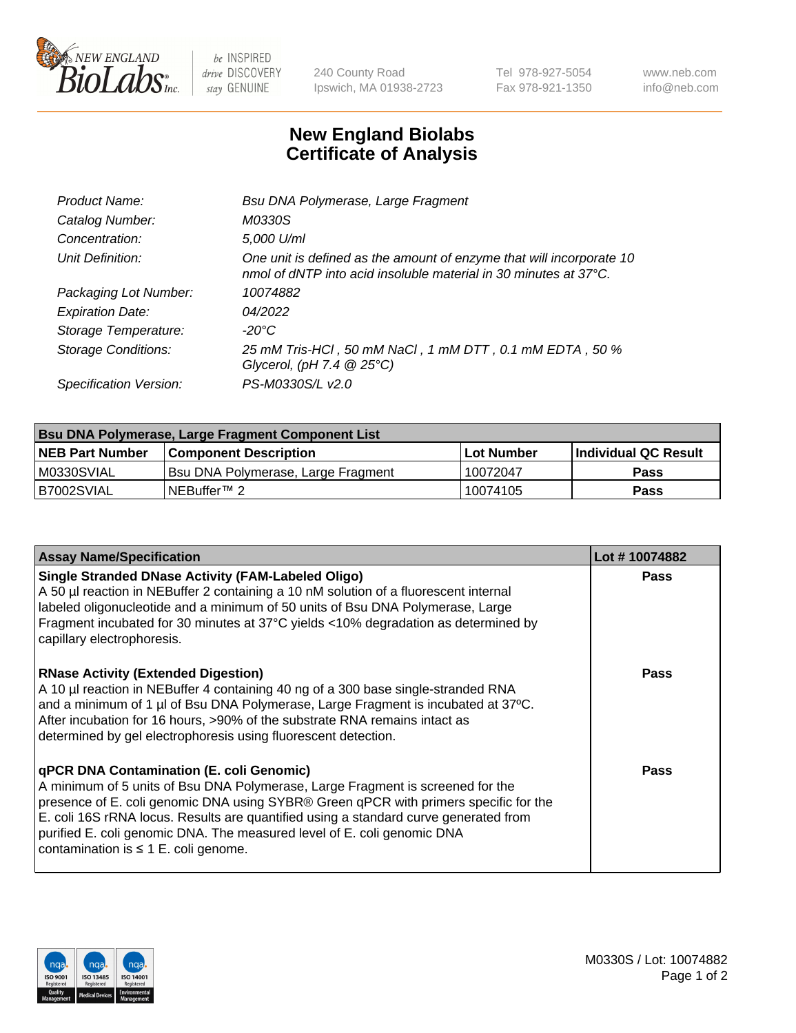

 $be$  INSPIRED drive DISCOVERY stay GENUINE

240 County Road Ipswich, MA 01938-2723 Tel 978-927-5054 Fax 978-921-1350 www.neb.com info@neb.com

## **New England Biolabs Certificate of Analysis**

| Product Name:              | Bsu DNA Polymerase, Large Fragment                                                                                                                 |
|----------------------------|----------------------------------------------------------------------------------------------------------------------------------------------------|
| Catalog Number:            | M0330S                                                                                                                                             |
| Concentration:             | 5,000 U/ml                                                                                                                                         |
| Unit Definition:           | One unit is defined as the amount of enzyme that will incorporate 10<br>nmol of dNTP into acid insoluble material in 30 minutes at $37^{\circ}$ C. |
| Packaging Lot Number:      | 10074882                                                                                                                                           |
| <b>Expiration Date:</b>    | 04/2022                                                                                                                                            |
| Storage Temperature:       | $-20^{\circ}$ C                                                                                                                                    |
| <b>Storage Conditions:</b> | 25 mM Tris-HCl, 50 mM NaCl, 1 mM DTT, 0.1 mM EDTA, 50 %<br>Glycerol, (pH 7.4 $@25°C$ )                                                             |
| Specification Version:     | PS-M0330S/L v2.0                                                                                                                                   |

| Bsu DNA Polymerase, Large Fragment Component List |                                    |                   |                      |  |  |
|---------------------------------------------------|------------------------------------|-------------------|----------------------|--|--|
| <b>NEB Part Number</b>                            | <b>Component Description</b>       | <b>Lot Number</b> | Individual QC Result |  |  |
| M0330SVIAL                                        | Bsu DNA Polymerase, Large Fragment | 10072047          | <b>Pass</b>          |  |  |
| B7002SVIAL                                        | INEBuffer™ 2_                      | 10074105          | Pass                 |  |  |

| <b>Assay Name/Specification</b>                                                                                                                                                                                                                                                                                                                                                                                                    | Lot #10074882 |
|------------------------------------------------------------------------------------------------------------------------------------------------------------------------------------------------------------------------------------------------------------------------------------------------------------------------------------------------------------------------------------------------------------------------------------|---------------|
| <b>Single Stranded DNase Activity (FAM-Labeled Oligo)</b><br>A 50 µl reaction in NEBuffer 2 containing a 10 nM solution of a fluorescent internal<br>labeled oligonucleotide and a minimum of 50 units of Bsu DNA Polymerase, Large<br>Fragment incubated for 30 minutes at 37°C yields <10% degradation as determined by<br>capillary electrophoresis.                                                                            | <b>Pass</b>   |
| <b>RNase Activity (Extended Digestion)</b><br>A 10 µl reaction in NEBuffer 4 containing 40 ng of a 300 base single-stranded RNA<br>and a minimum of 1 µl of Bsu DNA Polymerase, Large Fragment is incubated at 37°C.<br>After incubation for 16 hours, >90% of the substrate RNA remains intact as<br>determined by gel electrophoresis using fluorescent detection.                                                               | <b>Pass</b>   |
| qPCR DNA Contamination (E. coli Genomic)<br>A minimum of 5 units of Bsu DNA Polymerase, Large Fragment is screened for the<br>presence of E. coli genomic DNA using SYBR® Green qPCR with primers specific for the<br>E. coli 16S rRNA locus. Results are quantified using a standard curve generated from<br>purified E. coli genomic DNA. The measured level of E. coli genomic DNA<br>contamination is $\leq 1$ E. coli genome. | <b>Pass</b>   |